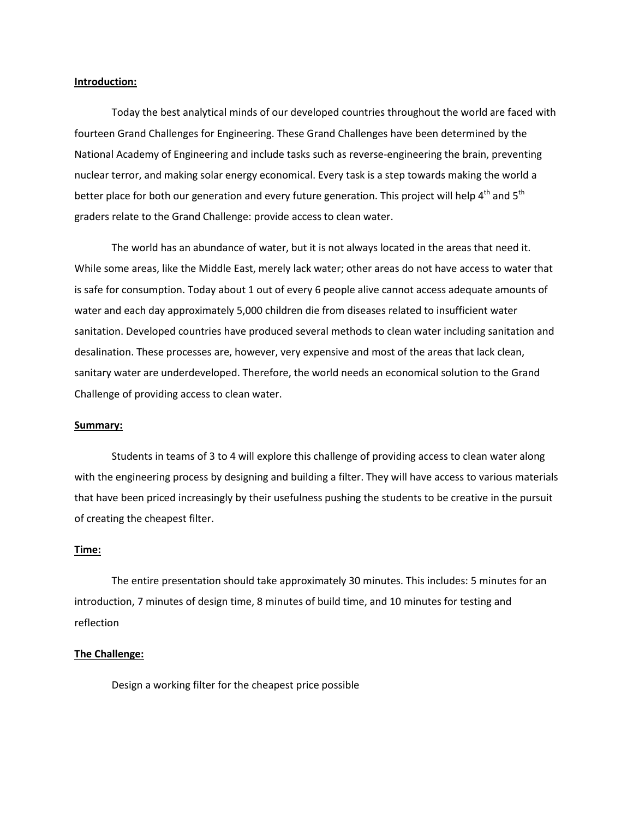#### **Introduction:**

Today the best analytical minds of our developed countries throughout the world are faced with fourteen Grand Challenges for Engineering. These Grand Challenges have been determined by the National Academy of Engineering and include tasks such as reverse-engineering the brain, preventing nuclear terror, and making solar energy economical. Every task is a step towards making the world a better place for both our generation and every future generation. This project will help 4<sup>th</sup> and 5<sup>th</sup> graders relate to the Grand Challenge: provide access to clean water.

The world has an abundance of water, but it is not always located in the areas that need it. While some areas, like the Middle East, merely lack water; other areas do not have access to water that is safe for consumption. Today about 1 out of every 6 people alive cannot access adequate amounts of water and each day approximately 5,000 children die from diseases related to insufficient water sanitation. Developed countries have produced several methods to clean water including sanitation and desalination. These processes are, however, very expensive and most of the areas that lack clean, sanitary water are underdeveloped. Therefore, the world needs an economical solution to the Grand Challenge of providing access to clean water.

#### **Summary:**

Students in teams of 3 to 4 will explore this challenge of providing access to clean water along with the engineering process by designing and building a filter. They will have access to various materials that have been priced increasingly by their usefulness pushing the students to be creative in the pursuit of creating the cheapest filter.

#### **Time:**

The entire presentation should take approximately 30 minutes. This includes: 5 minutes for an introduction, 7 minutes of design time, 8 minutes of build time, and 10 minutes for testing and reflection

#### **The Challenge:**

Design a working filter for the cheapest price possible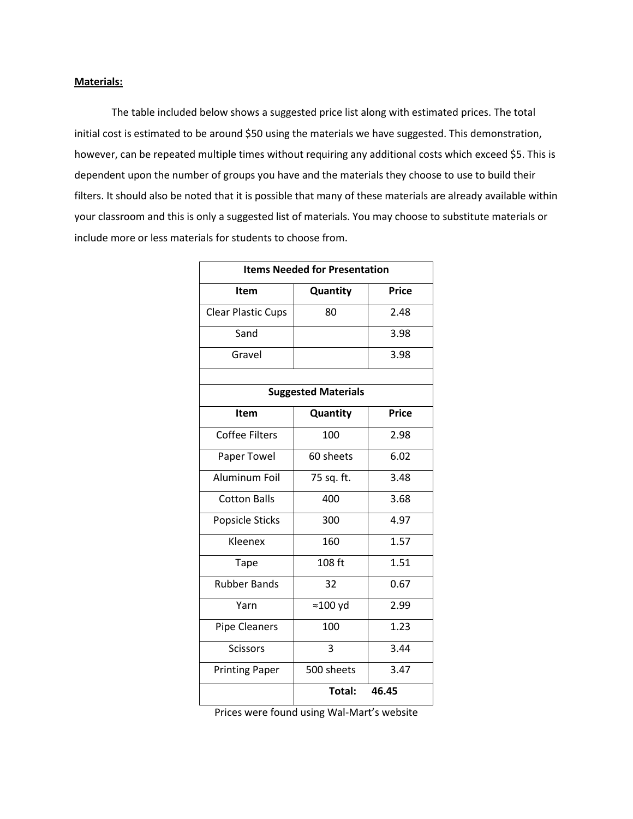#### **Materials:**

The table included below shows a suggested price list along with estimated prices. The total initial cost is estimated to be around \$50 using the materials we have suggested. This demonstration, however, can be repeated multiple times without requiring any additional costs which exceed \$5. This is dependent upon the number of groups you have and the materials they choose to use to build their filters. It should also be noted that it is possible that many of these materials are already available within your classroom and this is only a suggested list of materials. You may choose to substitute materials or include more or less materials for students to choose from.

| <b>Items Needed for Presentation</b> |                  |              |  |  |
|--------------------------------------|------------------|--------------|--|--|
| Item                                 | Quantity         | <b>Price</b> |  |  |
| <b>Clear Plastic Cups</b>            | 80               | 2.48         |  |  |
| Sand                                 |                  | 3.98         |  |  |
| Gravel                               |                  | 3.98         |  |  |
|                                      |                  |              |  |  |
| <b>Suggested Materials</b>           |                  |              |  |  |
| <b>Item</b>                          | Quantity         | <b>Price</b> |  |  |
| <b>Coffee Filters</b>                | 100              | 2.98         |  |  |
| Paper Towel                          | 60 sheets        | 6.02         |  |  |
| Aluminum Foil                        | 75 sq. ft.       | 3.48         |  |  |
| <b>Cotton Balls</b>                  | 400              | 3.68         |  |  |
| Popsicle Sticks                      | 300              | 4.97         |  |  |
| Kleenex                              | 160              | 1.57         |  |  |
| <b>Tape</b>                          | 108 ft           | 1.51         |  |  |
| <b>Rubber Bands</b>                  | 32               | 0.67         |  |  |
| Yarn                                 | $\approx$ 100 yd | 2.99         |  |  |
| <b>Pipe Cleaners</b>                 | 100              | 1.23         |  |  |
| <b>Scissors</b>                      | 3                | 3.44         |  |  |
| <b>Printing Paper</b>                | 500 sheets       | 3.47         |  |  |
|                                      | Total:           | 46.45        |  |  |

Prices were found using Wal-Mart's website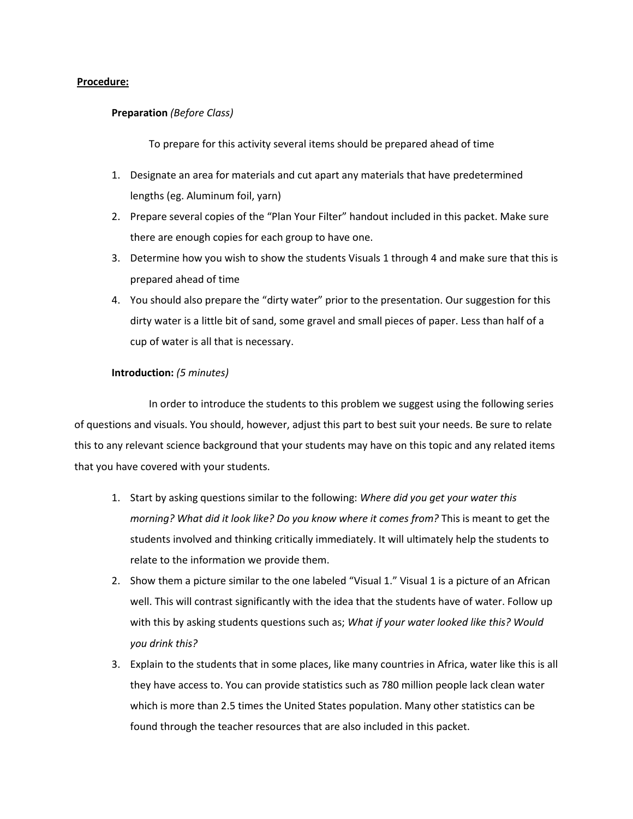#### **Procedure:**

#### **Preparation** *(Before Class)*

To prepare for this activity several items should be prepared ahead of time

- 1. Designate an area for materials and cut apart any materials that have predetermined lengths (eg. Aluminum foil, yarn)
- 2. Prepare several copies of the "Plan Your Filter" handout included in this packet. Make sure there are enough copies for each group to have one.
- 3. Determine how you wish to show the students Visuals 1 through 4 and make sure that this is prepared ahead of time
- 4. You should also prepare the "dirty water" prior to the presentation. Our suggestion for this dirty water is a little bit of sand, some gravel and small pieces of paper. Less than half of a cup of water is all that is necessary.

#### **Introduction:** *(5 minutes)*

In order to introduce the students to this problem we suggest using the following series of questions and visuals. You should, however, adjust this part to best suit your needs. Be sure to relate this to any relevant science background that your students may have on this topic and any related items that you have covered with your students.

- 1. Start by asking questions similar to the following: *Where did you get your water this morning? What did it look like? Do you know where it comes from?* This is meant to get the students involved and thinking critically immediately. It will ultimately help the students to relate to the information we provide them.
- 2. Show them a picture similar to the one labeled "Visual 1." Visual 1 is a picture of an African well. This will contrast significantly with the idea that the students have of water. Follow up with this by asking students questions such as; *What if your water looked like this? Would you drink this?*
- 3. Explain to the students that in some places, like many countries in Africa, water like this is all they have access to. You can provide statistics such as 780 million people lack clean water which is more than 2.5 times the United States population. Many other statistics can be found through the teacher resources that are also included in this packet.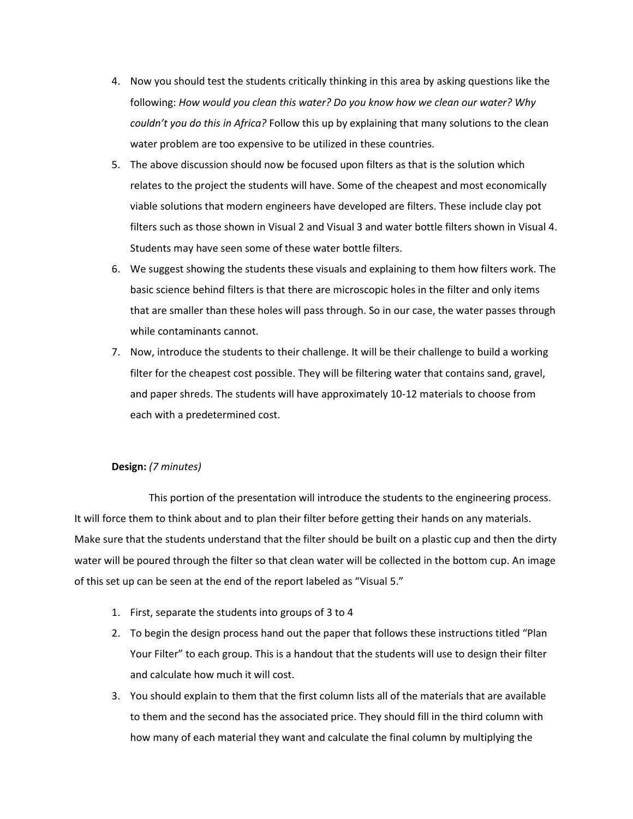- 4. Now you should test the students critically thinking in this area by asking questions like the following: *How would you clean this water? Do you know how we clean our water? Why couldn't you do this in Africa?* Follow this up by explaining that many solutions to the clean water problem are too expensive to be utilized in these countries.
- 5. The above discussion should now be focused upon filters as that is the solution which relates to the project the students will have. Some of the cheapest and most economically viable solutions that modern engineers have developed are filters. These include clay pot filters such as those shown in Visual 2 and Visual 3 and water bottle filters shown in Visual 4. Students may have seen some of these water bottle filters.
- 6. We suggest showing the students these visuals and explaining to them how filters work. The basic science behind filters is that there are microscopic holes in the filter and only items that are smaller than these holes will pass through. So in our case, the water passes through while contaminants cannot.
- 7. Now, introduce the students to their challenge. It will be their challenge to build a working filter for the cheapest cost possible. They will be filtering water that contains sand, gravel, and paper shreds. The students will have approximately 10-12 materials to choose from each with a predetermined cost.

#### **Design:** *(7 minutes)*

This portion of the presentation will introduce the students to the engineering process. It will force them to think about and to plan their filter before getting their hands on any materials. Make sure that the students understand that the filter should be built on a plastic cup and then the dirty water will be poured through the filter so that clean water will be collected in the bottom cup. An image of this set up can be seen at the end of the report labeled as "Visual 5."

- 1. First, separate the students into groups of 3 to 4
- 2. To begin the design process hand out the paper that follows these instructions titled "Plan Your Filter" to each group. This is a handout that the students will use to design their filter and calculate how much it will cost.
- 3. You should explain to them that the first column lists all of the materials that are available to them and the second has the associated price. They should fill in the third column with how many of each material they want and calculate the final column by multiplying the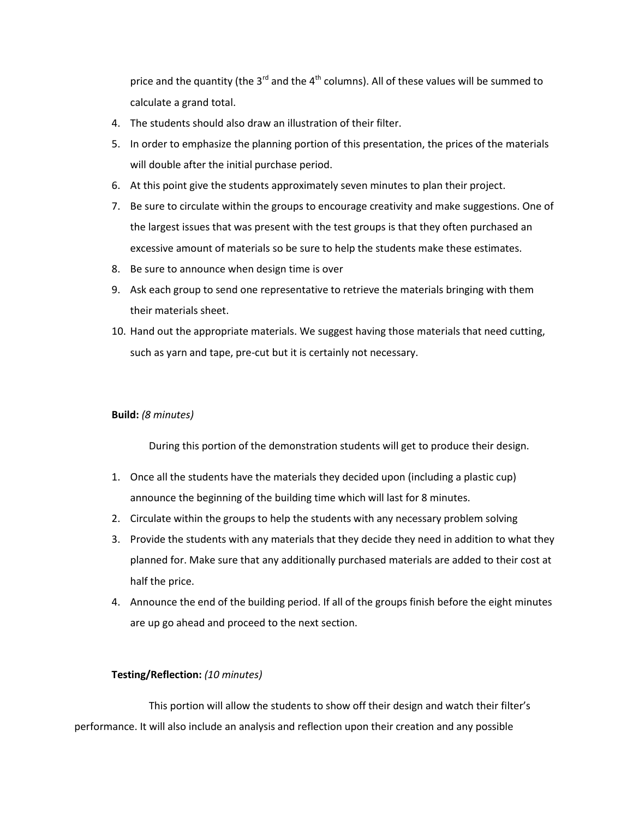price and the quantity (the  $3^{rd}$  and the  $4^{th}$  columns). All of these values will be summed to calculate a grand total.

- 4. The students should also draw an illustration of their filter.
- 5. In order to emphasize the planning portion of this presentation, the prices of the materials will double after the initial purchase period.
- 6. At this point give the students approximately seven minutes to plan their project.
- 7. Be sure to circulate within the groups to encourage creativity and make suggestions. One of the largest issues that was present with the test groups is that they often purchased an excessive amount of materials so be sure to help the students make these estimates.
- 8. Be sure to announce when design time is over
- 9. Ask each group to send one representative to retrieve the materials bringing with them their materials sheet.
- 10. Hand out the appropriate materials. We suggest having those materials that need cutting, such as yarn and tape, pre-cut but it is certainly not necessary.

#### **Build:** *(8 minutes)*

During this portion of the demonstration students will get to produce their design.

- 1. Once all the students have the materials they decided upon (including a plastic cup) announce the beginning of the building time which will last for 8 minutes.
- 2. Circulate within the groups to help the students with any necessary problem solving
- 3. Provide the students with any materials that they decide they need in addition to what they planned for. Make sure that any additionally purchased materials are added to their cost at half the price.
- 4. Announce the end of the building period. If all of the groups finish before the eight minutes are up go ahead and proceed to the next section.

#### **Testing/Reflection:** *(10 minutes)*

This portion will allow the students to show off their design and watch their filter's performance. It will also include an analysis and reflection upon their creation and any possible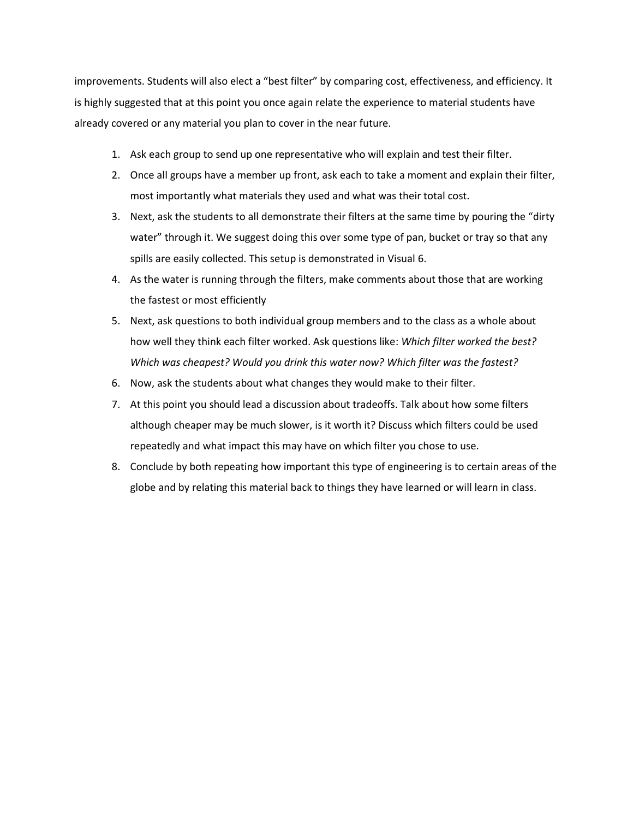improvements. Students will also elect a "best filter" by comparing cost, effectiveness, and efficiency. It is highly suggested that at this point you once again relate the experience to material students have already covered or any material you plan to cover in the near future.

- 1. Ask each group to send up one representative who will explain and test their filter.
- 2. Once all groups have a member up front, ask each to take a moment and explain their filter, most importantly what materials they used and what was their total cost.
- 3. Next, ask the students to all demonstrate their filters at the same time by pouring the "dirty water" through it. We suggest doing this over some type of pan, bucket or tray so that any spills are easily collected. This setup is demonstrated in Visual 6.
- 4. As the water is running through the filters, make comments about those that are working the fastest or most efficiently
- 5. Next, ask questions to both individual group members and to the class as a whole about how well they think each filter worked. Ask questions like: *Which filter worked the best? Which was cheapest? Would you drink this water now? Which filter was the fastest?*
- 6. Now, ask the students about what changes they would make to their filter.
- 7. At this point you should lead a discussion about tradeoffs. Talk about how some filters although cheaper may be much slower, is it worth it? Discuss which filters could be used repeatedly and what impact this may have on which filter you chose to use.
- 8. Conclude by both repeating how important this type of engineering is to certain areas of the globe and by relating this material back to things they have learned or will learn in class.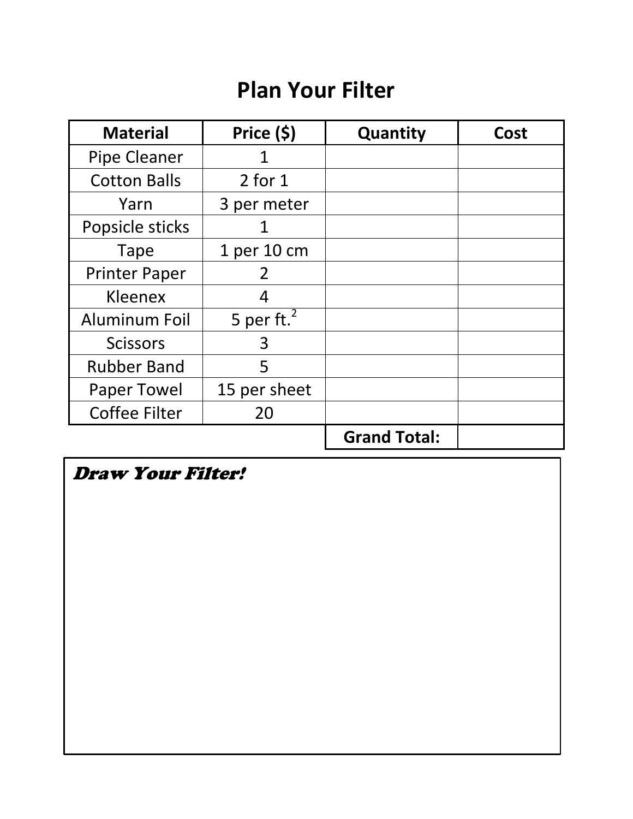# **Plan Your Filter**

| <b>Material</b>      | Price (\$)     | Quantity            | Cost |
|----------------------|----------------|---------------------|------|
| <b>Pipe Cleaner</b>  | 1              |                     |      |
| <b>Cotton Balls</b>  | $2$ for $1$    |                     |      |
| Yarn                 | 3 per meter    |                     |      |
| Popsicle sticks      |                |                     |      |
| <b>Tape</b>          | 1 per 10 cm    |                     |      |
| <b>Printer Paper</b> | 2              |                     |      |
| Kleenex              |                |                     |      |
| <b>Aluminum Foil</b> | 5 per ft. $^2$ |                     |      |
| <b>Scissors</b>      | 3              |                     |      |
| <b>Rubber Band</b>   | 5              |                     |      |
| <b>Paper Towel</b>   | 15 per sheet   |                     |      |
| <b>Coffee Filter</b> | 20             |                     |      |
|                      |                | <b>Grand Total:</b> |      |

Draw Your Filter!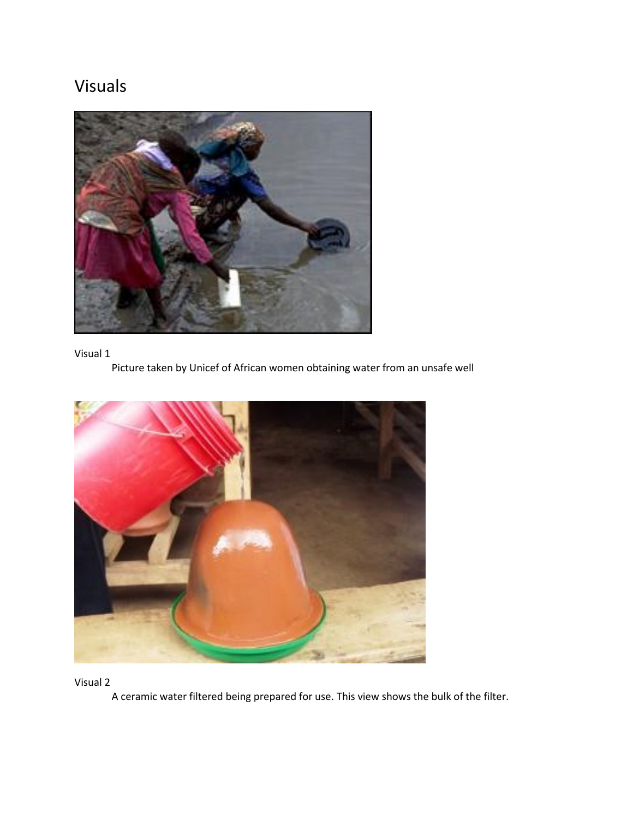# Visuals



# Visual 1

Picture taken by Unicef of African women obtaining water from an unsafe well



Visual 2

A ceramic water filtered being prepared for use. This view shows the bulk of the filter.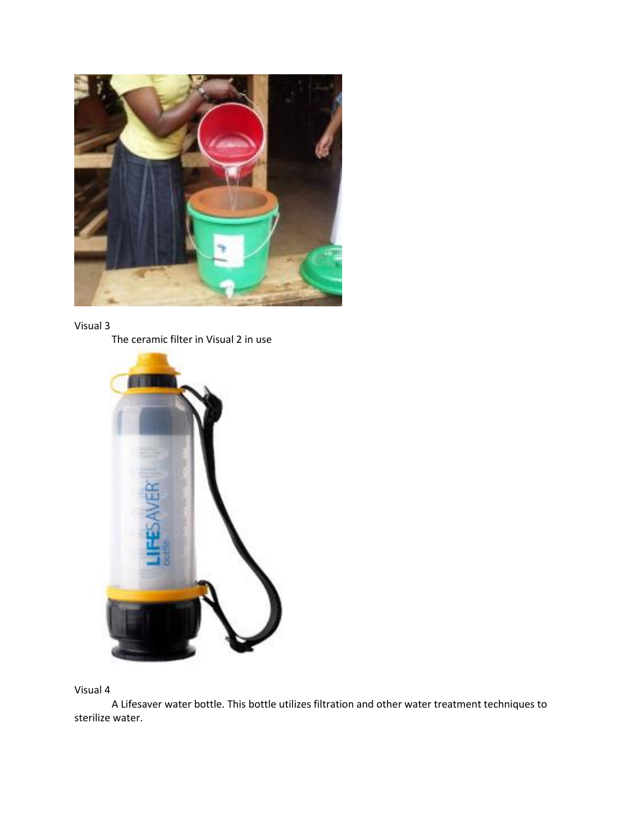





Visual 4

A Lifesaver water bottle. This bottle utilizes filtration and other water treatment techniques to sterilize water.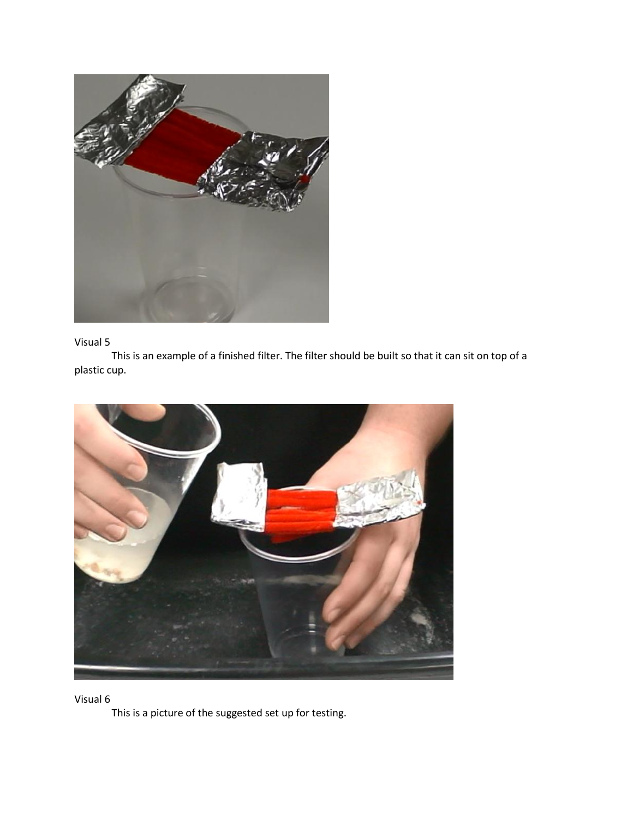

## Visual 5

This is an example of a finished filter. The filter should be built so that it can sit on top of a plastic cup.



Visual 6

This is a picture of the suggested set up for testing.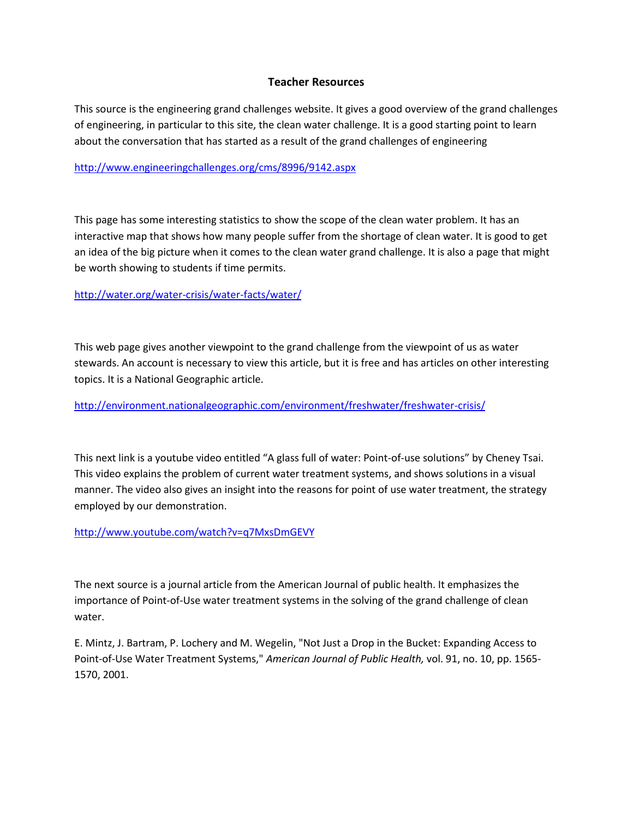## **Teacher Resources**

This source is the engineering grand challenges website. It gives a good overview of the grand challenges of engineering, in particular to this site, the clean water challenge. It is a good starting point to learn about the conversation that has started as a result of the grand challenges of engineering

<http://www.engineeringchallenges.org/cms/8996/9142.aspx>

This page has some interesting statistics to show the scope of the clean water problem. It has an interactive map that shows how many people suffer from the shortage of clean water. It is good to get an idea of the big picture when it comes to the clean water grand challenge. It is also a page that might be worth showing to students if time permits.

<http://water.org/water-crisis/water-facts/water/>

This web page gives another viewpoint to the grand challenge from the viewpoint of us as water stewards. An account is necessary to view this article, but it is free and has articles on other interesting topics. It is a National Geographic article.

<http://environment.nationalgeographic.com/environment/freshwater/freshwater-crisis/>

This next link is a youtube video entitled "A glass full of water: Point-of-use solutions" by Cheney Tsai. This video explains the problem of current water treatment systems, and shows solutions in a visual manner. The video also gives an insight into the reasons for point of use water treatment, the strategy employed by our demonstration.

<http://www.youtube.com/watch?v=q7MxsDmGEVY>

The next source is a journal article from the American Journal of public health. It emphasizes the importance of Point-of-Use water treatment systems in the solving of the grand challenge of clean water.

E. Mintz, J. Bartram, P. Lochery and M. Wegelin, "Not Just a Drop in the Bucket: Expanding Access to Point-of-Use Water Treatment Systems," *American Journal of Public Health,* vol. 91, no. 10, pp. 1565- 1570, 2001.